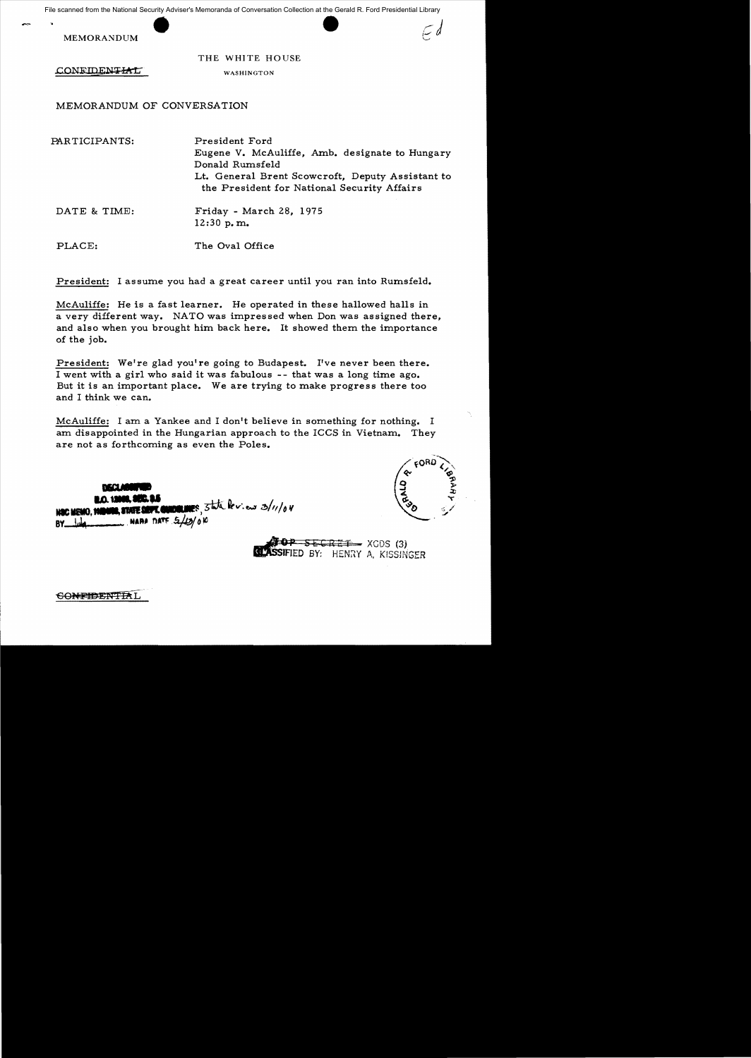Example from the National Security Adviser<br>MEMORANDUM File scanned from the National Security Adviser's Memoranda of Conversation Collection at the Gerald R. Ford Presidential Library

THE WHITE HOUSE

CONFIDENTIAL

WASHINGTON

MEMORANDUM OF CONVERSATION

PARTICIPANTS: President Ford Eugene V. McAuliffe, Amb. designate to Hungary Donald Rumsfe1d Lt. General Brent Scowcroft , Deputy Assistant to the President for National Security Affairs DATE & TIME: Friday - March 28, 1975 12:30 p. m. PLACE: The Oval Office

President: I assume you had a great career until you ran into Rumsfeld.

McAuliffe: He is a fast learner. He operated in these hallowed halls in a very different way. NATO was impressed when Don was assigned there, and also when you brought him back here. It showed them the importance of the job.

President: We're glad you're going to Budapest. I've never been there. I went with a girl who said it was fabulous -- that was a long time ago. But it is an important place. We are trying to make progress there too and I think we can.

McAuliffe: I am a Yankee and I don't believe in something for nothing. I am disappointed in the Hungarian approach to the ICCS in Vietnam. They are not as forthcoming as even the Poles.

**AND DEALER** Mac MEMO, 1980 WARA DATE  $5/12/0$  10  $BY$ 

**.top** S<del>ecret</del> XGDS (3)<br>**.tassified** by: Henry A, KISSINGER

**GONFIDENTIAL**